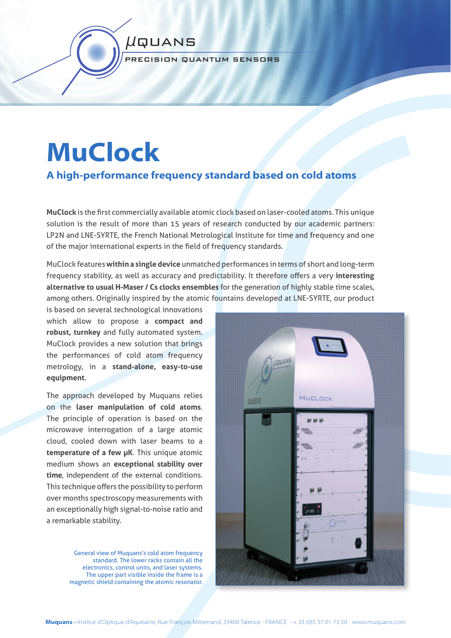#### PRECISION QUANTUM SENSORS

µquans

# **MuClock**

# **A high-performance frequency standard based on cold atoms**

**MuClock** is the fi rst commercially available atomic clock based on laser-cooled atoms. This unique solution is the result of more than 15 years of research conducted by our academic partners: LP2N and LNE-SYRTE, the French National Metrological Institute for time and frequency and one of the major international experts in the field of frequency standards.

MuClock features **within a single device** unmatched performances in terms of short and long-term frequency stability, as well as accuracy and predictability. It therefore offers a very interesting **alternative to usual H-Maser / Cs clocks ensembles** for the generation of highly stable time scales, among others. Originally inspired by the atomic fountains developed at LNE-SYRTE, our product

is based on several technological innovations which allow to propose a **compact and robust, turnkey** and fully automated system. MuClock provides a new solution that brings the performances of cold atom frequency metrology, in a **stand-alone, easy-to-use equipment**.

The approach developed by Muquans relies on the **laser manipulation of cold atoms**. The principle of operation is based on the microwave interrogation of a large atomic cloud, cooled down with laser beams to a **temperature of a few µK**. This unique atomic medium shows an **exceptional stability over time**, independent of the external conditions. This technique offers the possibility to perform over months spectroscopy measurements with an exceptionally high signal-to-noise ratio and a remarkable stability.

> General view of Muquans's cold atom frequency standard. The lower racks contain all the electronics, control units, and laser systems. The upper part visible inside the frame is a magnetic shield containing the atomic resonator.